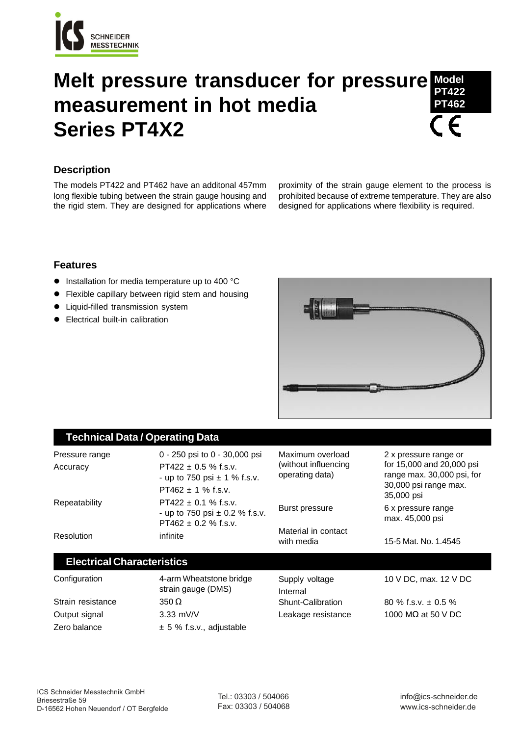

## **Melt pressure transducer for pressure measurement in hot media Series PT4X2 Model PT422 PT462**

# **Description**

The models PT422 and PT462 have an additonal 457mm long flexible tubing between the strain gauge housing and the rigid stem. They are designed for applications where

proximity of the strain gauge element to the process is prohibited because of extreme temperature. They are also designed for applications where flexibility is required.

### **Features**

- **.** Installation for media temperature up to 400 °C
- Flexible capillary between rigid stem and housing
- Liquid-filled transmission system
- **•** Electrical built-in calibration



## **Technical Data / Operating Data**

| Pressure range<br>Accuracy        | 0 - 250 psi to 0 - 30,000 psi<br>$PT422 \pm 0.5$ % f.s.v.<br>- up to 750 psi $\pm$ 1 % f.s.v.<br>$PT462 \pm 1$ % f.s.v. | Maximum overload<br>(without influencing)<br>operating data) | 2 x pressure range or<br>for 15,000 and 20,000 psi<br>range max. 30,000 psi, for<br>30,000 psi range max.<br>35,000 psi |
|-----------------------------------|-------------------------------------------------------------------------------------------------------------------------|--------------------------------------------------------------|-------------------------------------------------------------------------------------------------------------------------|
| Repeatability                     | PT422 $\pm$ 0.1 % f.s.v.<br>- up to 750 psi $\pm$ 0.2 % f.s.v.<br>$PT462 \pm 0.2$ % f.s.v.                              | Burst pressure                                               | 6 x pressure range<br>max. 45,000 psi                                                                                   |
| Resolution                        | infinite                                                                                                                | Material in contact<br>with media                            | 15-5 Mat. No. 1.4545                                                                                                    |
| <b>Electrical Characteristics</b> |                                                                                                                         |                                                              |                                                                                                                         |
| Configuration                     | 4-arm Wheatstone bridge                                                                                                 | Supply voltage                                               | 10 V DC. max. 12 V DC                                                                                                   |

Strain resistance 350 Ω Output signal 3.33 mV/V

strain gauge (DMS) Zero balance  $\pm 5 \%$  f.s.v., adjustable

Internal Shunt-Calibration 80 % f.s.v. ± 0.5 %

Leakage resistance 1000 MΩ at 50 V DC